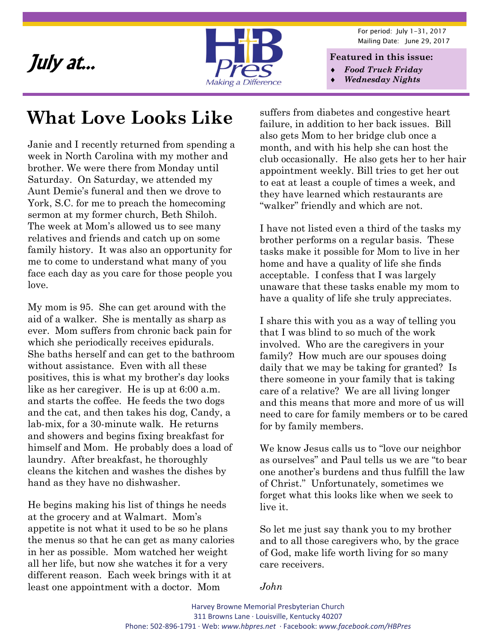

For period: July 1-31, 2017 Mailing Date: June 29, 2017

- *Food Truck Friday*
- *Wednesday Nights*

#### **What Love Looks Like**

Janie and I recently returned from spending a week in North Carolina with my mother and brother. We were there from Monday until Saturday. On Saturday, we attended my Aunt Demie's funeral and then we drove to York, S.C. for me to preach the homecoming sermon at my former church, Beth Shiloh. The week at Mom's allowed us to see many relatives and friends and catch up on some family history. It was also an opportunity for me to come to understand what many of you face each day as you care for those people you love.

My mom is 95. She can get around with the aid of a walker. She is mentally as sharp as ever. Mom suffers from chronic back pain for which she periodically receives epidurals. She baths herself and can get to the bathroom without assistance. Even with all these positives, this is what my brother's day looks like as her caregiver. He is up at 6:00 a.m. and starts the coffee. He feeds the two dogs and the cat, and then takes his dog, Candy, a lab-mix, for a 30-minute walk. He returns and showers and begins fixing breakfast for himself and Mom. He probably does a load of laundry. After breakfast, he thoroughly cleans the kitchen and washes the dishes by hand as they have no dishwasher.

He begins making his list of things he needs at the grocery and at Walmart. Mom's appetite is not what it used to be so he plans the menus so that he can get as many calories in her as possible. Mom watched her weight all her life, but now she watches it for a very different reason. Each week brings with it at least one appointment with a doctor. Mom

suffers from diabetes and congestive heart failure, in addition to her back issues. Bill also gets Mom to her bridge club once a month, and with his help she can host the club occasionally. He also gets her to her hair appointment weekly. Bill tries to get her out to eat at least a couple of times a week, and they have learned which restaurants are "walker" friendly and which are not.

I have not listed even a third of the tasks my brother performs on a regular basis. These tasks make it possible for Mom to live in her home and have a quality of life she finds acceptable. I confess that I was largely unaware that these tasks enable my mom to have a quality of life she truly appreciates.

I share this with you as a way of telling you that I was blind to so much of the work involved. Who are the caregivers in your family? How much are our spouses doing daily that we may be taking for granted? Is there someone in your family that is taking care of a relative? We are all living longer and this means that more and more of us will need to care for family members or to be cared for by family members.

We know Jesus calls us to "love our neighbor as ourselves" and Paul tells us we are "to bear one another's burdens and thus fulfill the law of Christ." Unfortunately, sometimes we forget what this looks like when we seek to live it.

So let me just say thank you to my brother and to all those caregivers who, by the grace of God, make life worth living for so many care receivers.

*John*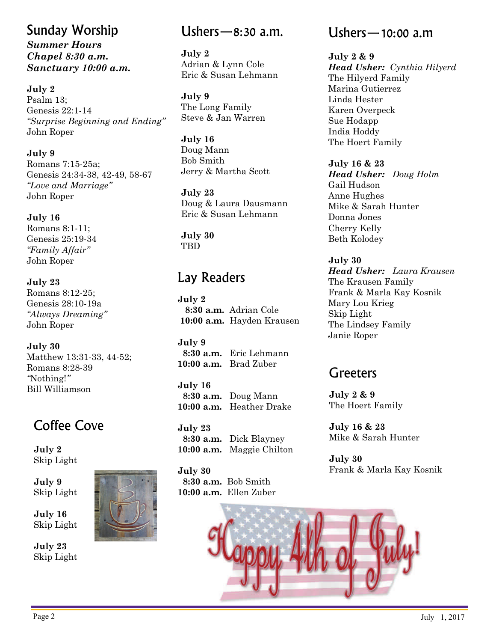#### Sunday Worship *Summer Hours Chapel 8:30 a.m. Sanctuary 10:00 a.m.*

**July 2** 

Psalm 13; Genesis 22:1-14 *"Surprise Beginning and Ending"*  John Roper

**July 9**  Romans 7:15-25a; Genesis 24:34-38, 42-49, 58-67 *"Love and Marriage"*  John Roper

**July 16**  Romans 8:1-11; Genesis 25:19-34 *"Family Affair"*  John Roper

**July 23**  Romans 8:12-25; Genesis 28:10-19a *"Always Dreaming"*  John Roper

**July 30**  Matthew 13:31-33, 44-52; Romans 8:28-39 *"*Nothing!*"*  Bill Williamson

#### Coffee Cove

**July 2**  Skip Light

**July 9**  Skip Light

**July 16**  Skip Light

**July 23**  Skip Light



Ushers—8:30 a.m.

**July 2**  Adrian & Lynn Cole Eric & Susan Lehmann

**July 9**  The Long Family Steve & Jan Warren

**July 16**  Doug Mann Bob Smith Jerry & Martha Scott

**July 23**  Doug & Laura Dausmann Eric & Susan Lehmann

**July 30**  TBD

#### Lay Readers

**July 2 8:30 a.m.** Adrian Cole **10:00 a.m.** Hayden Krausen

**July 9 8:30 a.m.** Eric Lehmann **10:00 a.m.** Brad Zuber

**July 16 8:30 a.m.** Doug Mann **10:00 a.m.** Heather Drake

**July 23 8:30 a.m.** Dick Blayney **10:00 a.m.** Maggie Chilton

**July 30 8:30 a.m.** Bob Smith **10:00 a.m.** Ellen Zuber

#### Ushers—10:00 a.m

**July 2 & 9**  *Head Usher: Cynthia Hilyerd* The Hilyerd Family Marina Gutierrez Linda Hester Karen Overpeck Sue Hodapp India Hoddy The Hoert Family

**July 16 & 23**  *Head Usher: Doug Holm* Gail Hudson Anne Hughes Mike & Sarah Hunter Donna Jones Cherry Kelly Beth Kolodey

**July 30**  *Head Usher: Laura Krausen* The Krausen Family Frank & Marla Kay Kosnik Mary Lou Krieg Skip Light The Lindsey Family Janie Roper

#### **Greeters**

**July 2 & 9**  The Hoert Family

**July 16 & 23**  Mike & Sarah Hunter

**July 30**  Frank & Marla Kay Kosnik

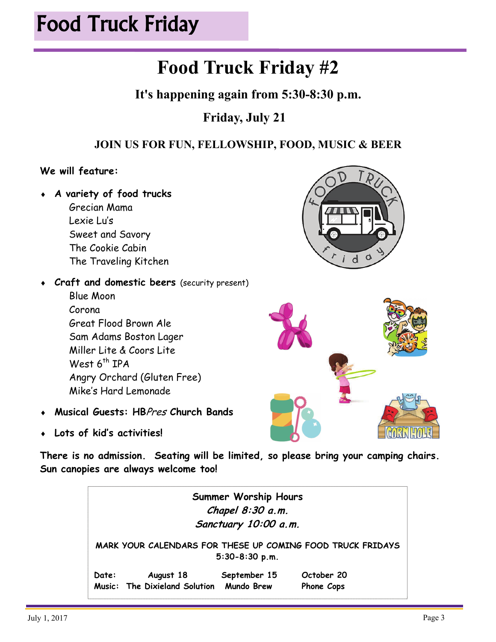# Food Truck Friday

#### **Food Truck Friday #2**

**It's happening again from 5:30-8:30 p.m.** 

#### **Friday, July 21**

#### **JOIN US FOR FUN, FELLOWSHIP, FOOD, MUSIC & BEER**

#### **We will feature:**

 **A variety of food trucks** Grecian Mama Lexie Lu's Sweet and Savory The Cookie Cabin The Traveling Kitchen

Great Flood Brown Ale

Mike's Hard Lemonade

Sam Adams Boston Lager Miller Lite & Coors Lite

Blue Moon Corona



Angry Orchard (Gluten Free)



**Musical Guests: HB**Pres **Church Bands**

**Craft and domestic beers** (security present)

**Lots of kid's activities!** 

West  $6<sup>th</sup>$  IPA

**There is no admission. Seating will be limited, so please bring your camping chairs. Sun canopies are always welcome too!** 

> **Summer Worship Hours Chapel 8:30 a.m. Sanctuary 10:00 a.m. MARK YOUR CALENDARS FOR THESE UP COMING FOOD TRUCK FRIDAYS 5:30-8:30 p.m. Date: August 18 September 15 October 20 Music: The Dixieland Solution Mundo Brew Phone Cops**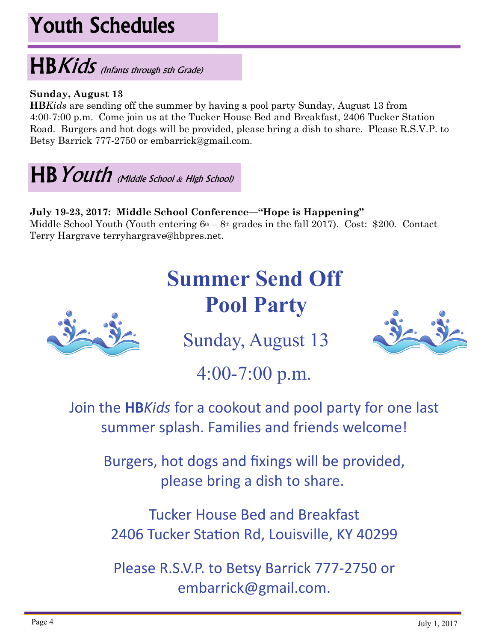# Youth Schedules

# HBKids (Infants through 5th Grade)

#### **Sunday, August 13**

**HB***Kids* are sending off the summer by having a pool party Sunday, August 13 from 4:00-7:00 p.m. Come join us at the Tucker House Bed and Breakfast, 2406 Tucker Station Road. Burgers and hot dogs will be provided, please bring a dish to share. Please R.S.V.P. to Betsy Barrick 777-2750 or embarrick@gmail.com.

HB Youth Middle School & High School)

#### **July 19-23, 2017: Middle School Conference—"Hope is Happening"**

Middle School Youth (Youth entering  $6<sup>th</sup> - 8<sup>th</sup>$  grades in the fall 2017). Cost: \$200. Contact Terry Hargrave terryhargrave@hbpres.net.

# **Summer Send Off Pool Party**



Sunday, August 13



4:00-7:00 p.m.

Join the **HB***Kids* for a cookout and pool party for one last summer splash. Families and friends welcome!

Burgers, hot dogs and fixings will be provided, please bring a dish to share.

Tucker House Bed and Breakfast 2406 Tucker Station Rd, Louisville, KY 40299

Please R.S.V.P. to Betsy Barrick 777‐2750 or embarrick@gmail.com.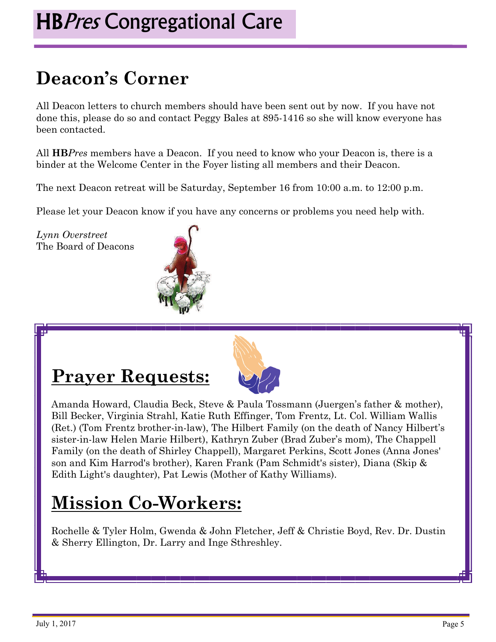### **Deacon's Corner**

All Deacon letters to church members should have been sent out by now. If you have not done this, please do so and contact Peggy Bales at 895-1416 so she will know everyone has been contacted.

All **HB***Pres* members have a Deacon. If you need to know who your Deacon is, there is a binder at the Welcome Center in the Foyer listing all members and their Deacon.

The next Deacon retreat will be Saturday, September 16 from 10:00 a.m. to 12:00 p.m.

Please let your Deacon know if you have any concerns or problems you need help with.

*Lynn Overstreet*  The Board of Deacons



#### **Prayer Requests:**



Amanda Howard, Claudia Beck, Steve & Paula Tossmann (Juergen's father & mother), Bill Becker, Virginia Strahl, Katie Ruth Effinger, Tom Frentz, Lt. Col. William Wallis (Ret.) (Tom Frentz brother-in-law), The Hilbert Family (on the death of Nancy Hilbert's sister-in-law Helen Marie Hilbert), Kathryn Zuber (Brad Zuber's mom), The Chappell Family (on the death of Shirley Chappell), Margaret Perkins, Scott Jones (Anna Jones' son and Kim Harrod's brother), Karen Frank (Pam Schmidt's sister), Diana (Skip & Edith Light's daughter), Pat Lewis (Mother of Kathy Williams).

#### **Mission Co-Workers:**

Rochelle & Tyler Holm, Gwenda & John Fletcher, Jeff & Christie Boyd, Rev. Dr. Dustin & Sherry Ellington, Dr. Larry and Inge Sthreshley.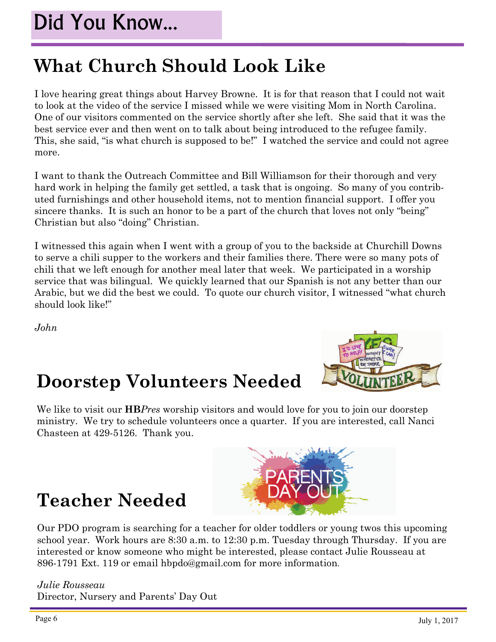#### **What Church Should Look Like**

I love hearing great things about Harvey Browne. It is for that reason that I could not wait to look at the video of the service I missed while we were visiting Mom in North Carolina. One of our visitors commented on the service shortly after she left. She said that it was the best service ever and then went on to talk about being introduced to the refugee family. This, she said, "is what church is supposed to be!" I watched the service and could not agree more.

I want to thank the Outreach Committee and Bill Williamson for their thorough and very hard work in helping the family get settled, a task that is ongoing. So many of you contributed furnishings and other household items, not to mention financial support. I offer you sincere thanks. It is such an honor to be a part of the church that loves not only "being" Christian but also "doing" Christian.

I witnessed this again when I went with a group of you to the backside at Churchill Downs to serve a chili supper to the workers and their families there. There were so many pots of chili that we left enough for another meal later that week. We participated in a worship service that was bilingual. We quickly learned that our Spanish is not any better than our Arabic, but we did the best we could. To quote our church visitor, I witnessed "what church should look like!"

*John* 

#### **Doorstep Volunteers Needed**



We like to visit our **HB***Pres* worship visitors and would love for you to join our doorstep ministry. We try to schedule volunteers once a quarter. If you are interested, call Nanci Chasteen at 429-5126. Thank you.

#### **Teacher Needed**



*Julie Rousseau*  Director, Nursery and Parents' Day Out

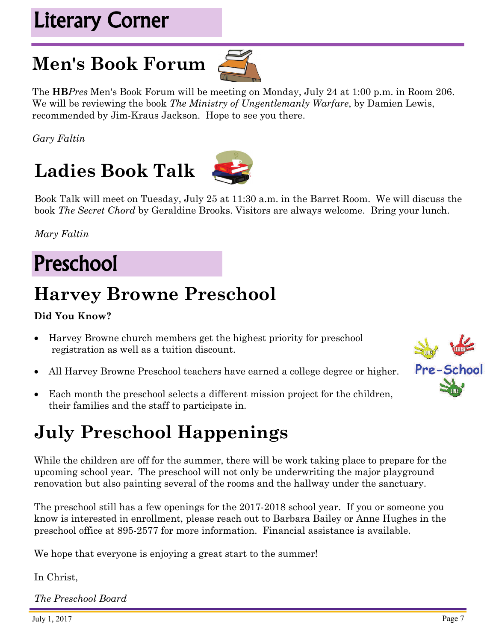### Literary Corner

### **Men's Book Forum**



The **HB***Pres* Men's Book Forum will be meeting on Monday, July 24 at 1:00 p.m. in Room 206. We will be reviewing the book *The Ministry of Ungentlemanly Warfare*, by Damien Lewis, recommended by Jim-Kraus Jackson. Hope to see you there.

*Gary Faltin* 

## **Ladies Book Talk**



Book Talk will meet on Tuesday, July 25 at 11:30 a.m. in the Barret Room. We will discuss the book *The Secret Chord* by Geraldine Brooks. Visitors are always welcome. Bring your lunch.

*Mary Faltin* 

### Preschool

### **Harvey Browne Preschool**

#### **Did You Know?**

- Harvey Browne church members get the highest priority for preschool registration as well as a tuition discount.
- All Harvey Browne Preschool teachers have earned a college degree or higher.
- Each month the preschool selects a different mission project for the children, their families and the staff to participate in.

#### **July Preschool Happenings**

While the children are off for the summer, there will be work taking place to prepare for the upcoming school year. The preschool will not only be underwriting the major playground renovation but also painting several of the rooms and the hallway under the sanctuary.

The preschool still has a few openings for the 2017-2018 school year. If you or someone you know is interested in enrollment, please reach out to Barbara Bailey or Anne Hughes in the preschool office at 895-2577 for more information. Financial assistance is available.

We hope that everyone is enjoying a great start to the summer!

In Christ,

*The Preschool Board*

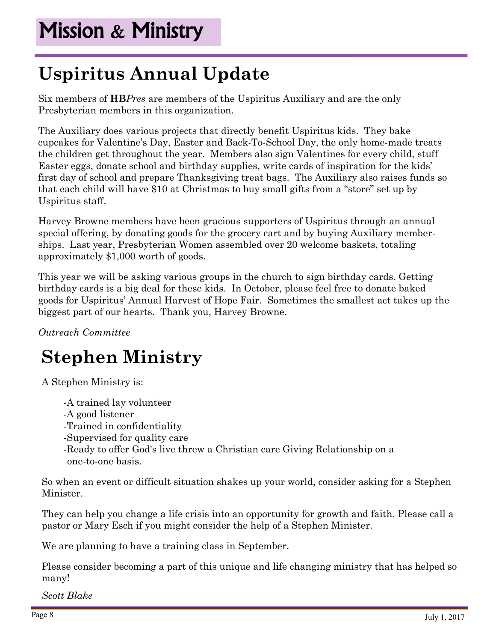#### **Uspiritus Annual Update**

Six members of **HB***Pres* are members of the Uspiritus Auxiliary and are the only Presbyterian members in this organization.

The Auxiliary does various projects that directly benefit Uspiritus kids. They bake cupcakes for Valentine's Day, Easter and Back-To-School Day, the only home-made treats the children get throughout the year. Members also sign Valentines for every child, stuff Easter eggs, donate school and birthday supplies, write cards of inspiration for the kids' first day of school and prepare Thanksgiving treat bags. The Auxiliary also raises funds so that each child will have \$10 at Christmas to buy small gifts from a "store" set up by Uspiritus staff.

Harvey Browne members have been gracious supporters of Uspiritus through an annual special offering, by donating goods for the grocery cart and by buying Auxiliary memberships. Last year, Presbyterian Women assembled over 20 welcome baskets, totaling approximately \$1,000 worth of goods.

This year we will be asking various groups in the church to sign birthday cards. Getting birthday cards is a big deal for these kids. In October, please feel free to donate baked goods for Uspiritus' Annual Harvest of Hope Fair. Sometimes the smallest act takes up the biggest part of our hearts. Thank you, Harvey Browne.

*Outreach Committee* 

#### **Stephen Ministry**

A Stephen Ministry is:

-A trained lay volunteer -A good listener -Trained in confidentiality -Supervised for quality care -Ready to offer God's live threw a Christian care Giving Relationship on a one-to-one basis.

So when an event or difficult situation shakes up your world, consider asking for a Stephen Minister.

They can help you change a life crisis into an opportunity for growth and faith. Please call a pastor or Mary Esch if you might consider the help of a Stephen Minister.

We are planning to have a training class in September.

Please consider becoming a part of this unique and life changing ministry that has helped so many!

*Scott Blake*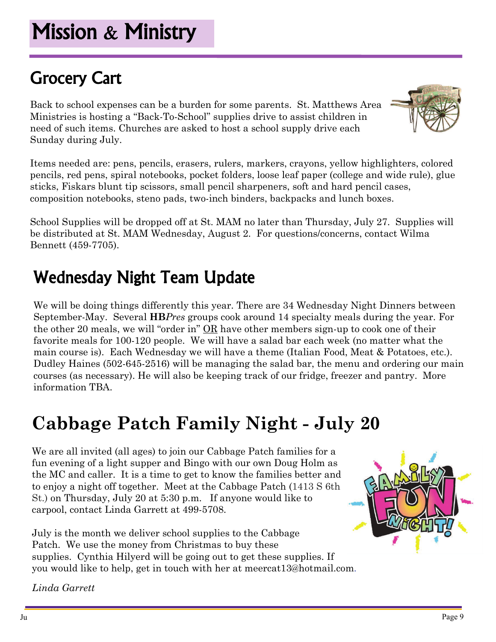# Grocery Cart

Back to school expenses can be a burden for some parents. St. Matthews Area Ministries is hosting a "Back-To-School" supplies drive to assist children in need of such items. Churches are asked to host a school supply drive each Sunday during July.

Items needed are: pens, pencils, erasers, rulers, markers, crayons, yellow highlighters, colored pencils, red pens, spiral notebooks, pocket folders, loose leaf paper (college and wide rule), glue sticks, Fiskars blunt tip scissors, small pencil sharpeners, soft and hard pencil cases, composition notebooks, steno pads, two-inch binders, backpacks and lunch boxes.

School Supplies will be dropped off at St. MAM no later than Thursday, July 27. Supplies will be distributed at St. MAM Wednesday, August 2. For questions/concerns, contact Wilma Bennett (459-7705).

#### Wednesday Night Team Update

We will be doing things differently this year. There are 34 Wednesday Night Dinners between September-May. Several **HB***Pres* groups cook around 14 specialty meals during the year. For the other 20 meals, we will "order in" OR have other members sign-up to cook one of their favorite meals for 100-120 people. We will have a salad bar each week (no matter what the main course is). Each Wednesday we will have a theme (Italian Food, Meat & Potatoes, etc.). Dudley Haines (502-645-2516) will be managing the salad bar, the menu and ordering our main courses (as necessary). He will also be keeping track of our fridge, freezer and pantry. More information TBA.

# **Cabbage Patch Family Night - July 20**

We are all invited (all ages) to join our Cabbage Patch families for a fun evening of a light supper and Bingo with our own Doug Holm as the MC and caller. It is a time to get to know the families better and to enjoy a night off together. Meet at the Cabbage Patch (1413 S 6th St.) on Thursday, July 20 at 5:30 p.m. If anyone would like to carpool, contact Linda Garrett at 499-5708.

July is the month we deliver school supplies to the Cabbage Patch. We use the money from Christmas to buy these supplies. Cynthia Hilyerd will be going out to get these supplies. If you would like to help, get in touch with her at meercat13@hotmail.com.

*Linda Garrett* 



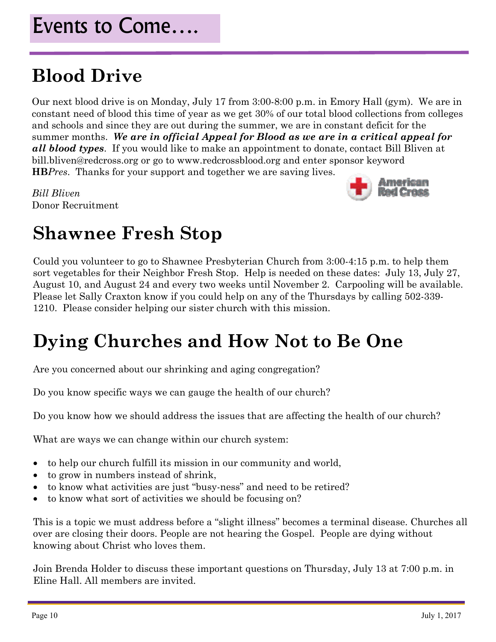#### **Blood Drive**

Our next blood drive is on Monday, July 17 from 3:00-8:00 p.m. in Emory Hall (gym). We are in constant need of blood this time of year as we get 30% of our total blood collections from colleges and schools and since they are out during the summer, we are in constant deficit for the summer months. *We are in official Appeal for Blood as we are in a critical appeal for all blood types*. If you would like to make an appointment to donate, contact Bill Bliven at bill.bliven@redcross.org or go to www.redcrossblood.org and enter sponsor keyword **HB***Pres*. Thanks for your support and together we are saving lives.

*Bill Bliven* Donor Recruitment



#### **Shawnee Fresh Stop**

Could you volunteer to go to Shawnee Presbyterian Church from 3:00-4:15 p.m. to help them sort vegetables for their Neighbor Fresh Stop. Help is needed on these dates: July 13, July 27, August 10, and August 24 and every two weeks until November 2. Carpooling will be available. Please let Sally Craxton know if you could help on any of the Thursdays by calling 502-339- 1210. Please consider helping our sister church with this mission.

#### **Dying Churches and How Not to Be One**

Are you concerned about our shrinking and aging congregation?

Do you know specific ways we can gauge the health of our church?

Do you know how we should address the issues that are affecting the health of our church?

What are ways we can change within our church system:

- to help our church fulfill its mission in our community and world,
- to grow in numbers instead of shrink,
- to know what activities are just "busy-ness" and need to be retired?
- to know what sort of activities we should be focusing on?

This is a topic we must address before a "slight illness" becomes a terminal disease. Churches all over are closing their doors. People are not hearing the Gospel. People are dying without knowing about Christ who loves them.

Join Brenda Holder to discuss these important questions on Thursday, July 13 at 7:00 p.m. in Eline Hall. All members are invited.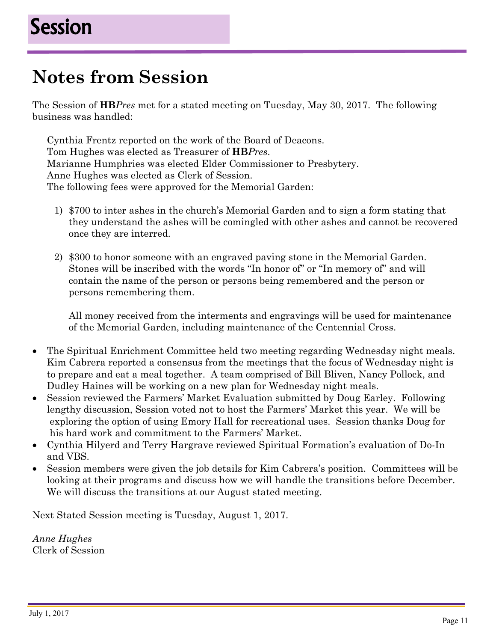#### **Notes from Session**

The Session of **HB***Pres* met for a stated meeting on Tuesday, May 30, 2017. The following business was handled:

Cynthia Frentz reported on the work of the Board of Deacons. Tom Hughes was elected as Treasurer of **HB***Pres*. Marianne Humphries was elected Elder Commissioner to Presbytery. Anne Hughes was elected as Clerk of Session. The following fees were approved for the Memorial Garden:

- 1) \$700 to inter ashes in the church's Memorial Garden and to sign a form stating that they understand the ashes will be comingled with other ashes and cannot be recovered once they are interred.
- 2) \$300 to honor someone with an engraved paving stone in the Memorial Garden. Stones will be inscribed with the words "In honor of" or "In memory of" and will contain the name of the person or persons being remembered and the person or persons remembering them.

 All money received from the interments and engravings will be used for maintenance of the Memorial Garden, including maintenance of the Centennial Cross.

- The Spiritual Enrichment Committee held two meeting regarding Wednesday night meals. Kim Cabrera reported a consensus from the meetings that the focus of Wednesday night is to prepare and eat a meal together. A team comprised of Bill Bliven, Nancy Pollock, and Dudley Haines will be working on a new plan for Wednesday night meals.
- Session reviewed the Farmers' Market Evaluation submitted by Doug Earley. Following lengthy discussion, Session voted not to host the Farmers' Market this year. We will be exploring the option of using Emory Hall for recreational uses. Session thanks Doug for his hard work and commitment to the Farmers' Market.
- Cynthia Hilyerd and Terry Hargrave reviewed Spiritual Formation's evaluation of Do-In and VBS.
- Session members were given the job details for Kim Cabrera's position. Committees will be looking at their programs and discuss how we will handle the transitions before December. We will discuss the transitions at our August stated meeting.

Next Stated Session meeting is Tuesday, August 1, 2017.

*Anne Hughes*  Clerk of Session